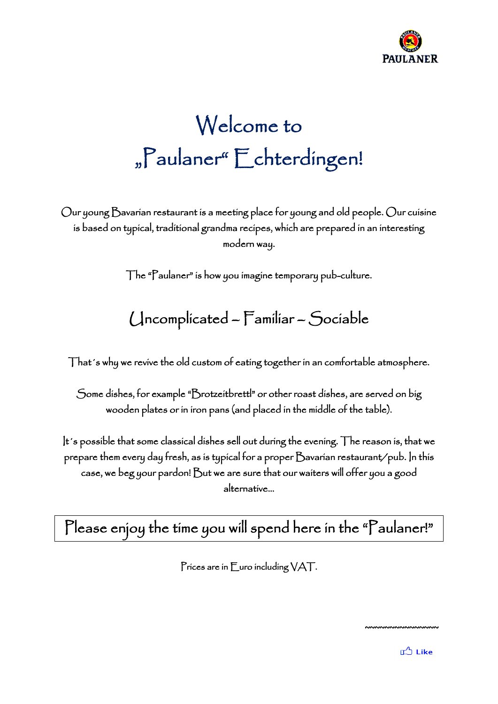

# Welcome to "Paulaner" Echterdingen!

Our young Bavarian restaurant is a meeting place for young and old people. Our cuisine is based on typical, traditional grandma recipes, which are prepared in an interesting modern way.

The "Paulaner" is how you imagine temporary pub-culture.

# Uncomplicated – Familiar – Sociable

That´s why we revive the old custom of eating together in an comfortable atmosphere.

Some dishes, for example "Brotzeitbrettl" or other roast dishes, are served on big wooden plates or in iron pans (and placed in the middle of the table).

It´s possible that some classical dishes sell out during the evening. The reason is, that we prepare them every day fresh, as is typical for a proper Bavarian restaurant/pub. In this case, we beg your pardon! But we are sure that our waiters will offer you a good alternative…

Please enjoy the time you will spend here in the "Paulaner!"

Prices are in Euro including VAT.

~~~~~~~~~~~~~~~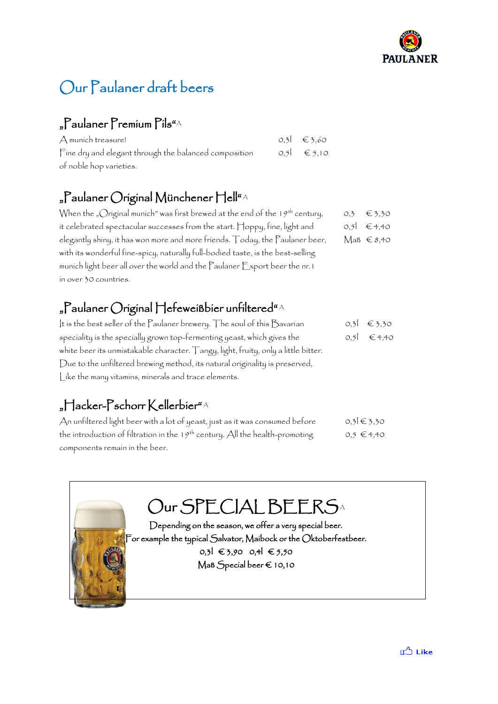

# Our Paulaner draft beers

## "Paulaner Premium Pils"A

| A munich treasure!                                    | $0,3$ € 3,60     |
|-------------------------------------------------------|------------------|
| Fine dry and elegant through the balanced composition | $0.5$ $\in$ 5.10 |
| of noble hop varieties.                               |                  |

## "Paulaner Original Münchener Hell" <sup>A</sup>

| When the "Original munich" was first brewed at the end of the 19 <sup>th</sup> century, | O,3 | $\epsilon$ 3,30               |
|-----------------------------------------------------------------------------------------|-----|-------------------------------|
| it celebrated spectacular successes from the start. Hoppy, fine, light and              |     | $0,5$ € 4,40                  |
| elegantly shiny, it has won more and more friends. Today, the Paulaner beer,            |     | $\operatorname{MaB} \in 8,40$ |
| with its wonderful fine-spicy, naturally full-bodied taste, is the best-selling         |     |                               |
| munich light beer all over the world and the Paulaner Export beer the nr. 1             |     |                               |
| in over 30 countries.                                                                   |     |                               |

### "Paulaner ()riginal Hefeweißbier unfiltered" $^{\text{\tiny{A}}}$

| It is the best seller of the Paulaner brewery. The soul of this Bavarian           | $0,3$ € 3,30 |
|------------------------------------------------------------------------------------|--------------|
| speciality is the specially grown top-fermenting yeast, which gives the            | $0,5$ € 4,40 |
| white beer its unmistakable character. Tangy, light, fruity, only a little bitter. |              |
| Due to the unfiltered brewing method, its natural originality is preserved,        |              |
| Like the many vitamins, minerals and trace elements.                               |              |

## "Hacker-Pschorr Kellerbier" A

| An unfiltered light beer with a lot of yeast, just as it was consumed before   | $0,3$ ∈ 3,30   |
|--------------------------------------------------------------------------------|----------------|
| the introduction of filtration in the $19th$ century. All the health-promoting | $0,5 \in 4,40$ |
| components remain in the beer.                                                 |                |

# Our SPECIAL BEERSA

Depending on the season, we offer a very special beer. For example the typical Salvator, Maibock or the Oktoberfestbeer.  $0,3$ l € 3,90 0,4l € 5,50 Maß Special beer € 10,10

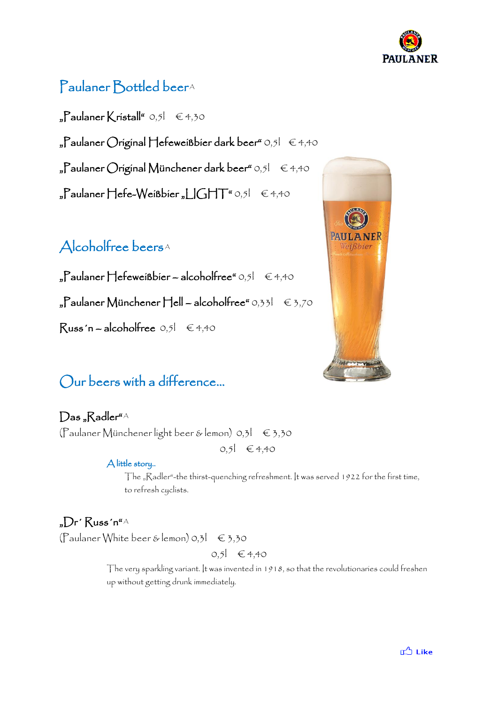

# Paulaner Bottled beer<sup>A</sup>

 $_{n}$ Paulaner Kristall" 0,5l  $\in$  4,30  $P$ aulaner Original Hefeweißbier dark beer" 0,5 $\theta \in 4,40$ "Paulaner Original Münchener dark beer" 0,5 $I \in 4,40$ "Paulaner Hefe-Weißbier "LIGHT" 0,5l €4,40

### Alcoholfree beers<sup>A</sup>

 $_{n}$ Paulaner Hefeweißbier – alcoholfree" 0,5l  $\in$  4,40  $_{p}$ Paulaner Münchener Hell – alcoholfree" 0,33l  $\in$  3,70  $Russ'n - alcoholfree$  0,5 $\in$  4,40

## Our beers with a difference…

### Das "Radler"A

(Paulaner Münchener light beer & lemon) 0,3l € 3,30  $0,5$ | € 4,40

#### A little story..

The "Radler"-the thirst-quenching refreshment. It was served 1922 for the first time, to refresh cyclists.

### $n_{\rm m}$ Dr' Russ'n" $^{4}$ A

(Paulaner White beer & lemon)  $0,3$   $\in$  3,30

 $0,5$ | €4,40

The very sparkling variant. It was invented in 1918, so that the revolutionaries could freshen up without getting drunk immediately.

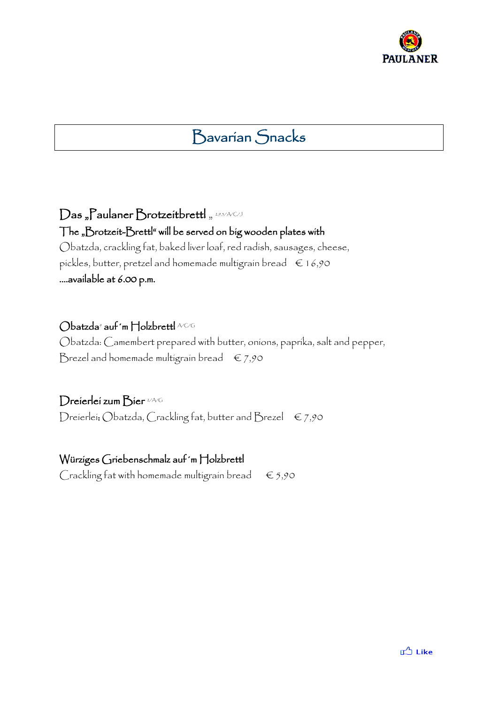

# Bavarian Snacks

 $\mathcal D$ as "Paulaner Brotzeitbrettl " 295/A/C/J The "Brotzeit-Brettl" will be served on big wooden plates with Obatzda, crackling fat, baked liver loaf, red radish, sausages, cheese,

pickles, butter, pretzel and homemade multigrain bread  $\epsilon$  16,90 ….available at 6.00 p.m.

#### $\bigcirc$ batzda $^{\circ}$  auf 'm  $\bigcap$ olzbrettl ACG

Obatzda: Camembert prepared with butter, onions, paprika, salt and pepper, Brezel and homemade multigrain bread  $\epsilon$  7,90

#### Dreierlei zum Bier 2/A/G

Dreierlei: Obatzda, Crackling fat, butter and Brezel  $\epsilon$  7,90

#### Würziges Griebenschmalz auf´m Holzbrettl

Crackling fat with homemade multigrain bread  $\epsilon$  5,90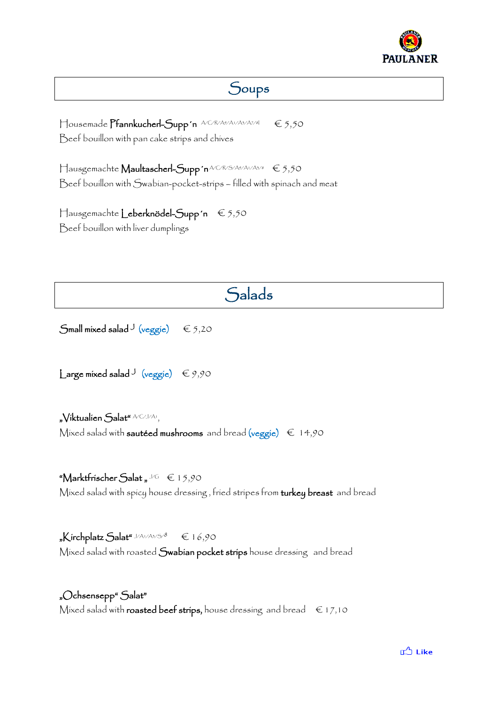

## Soups

Housemade **Pfannkucherl-Supp'n** ACRA9/A1/A3/A7/8I € 5,50 Beef bouillon with pan cake strips and chives

Hausgemachte **Maultascherl-Supp′n**ACRSA9/AVA3/8 € 5,50 Beef bouillon with Swabian-pocket-strips – filled with spinach and meat

Hausgemachte Leberknödel-Supp´n € 5,50 Beef bouillon with liver dumplings

# **Salads**

 $\mathsf{Small}$  mixed salad  $\mathsf{J}\ (\mathsf{veggie}) \quad \in$  5,20

 $\textsf{Large mixed}\, \textsf{slad}$ J (veggie)  $\in$  9,90

"Víktualien Salat" ACI/A1,

Mixed salad with **sautéed mushrooms** and bread (veggie)  $\epsilon$  14,90

#### "Marktfrischer  $\mathsf{S}$ alat " $\curlyeqcup \hspace{-0.5em}\rule{0.7pt}{0.1ex}\hspace{0.5em} \mathsf{S}$  15,90

Mixed salad with spicy house dressing, fried stripes from turkey breast and bread

" $\mathsf{K}$ írchplatz  $\mathsf{Salat}^{\mathsf{r}\cup\mathsf{A}\cup\mathsf{A}\mathsf{s}\times\mathsf{S}\prime}$ <sup>8</sup>  $\quad \in$  16,90 Mixed salad with roasted Swabian pocket strips house dressing and bread

"Ochsensepp" Salat" Mixed salad with roasted beef strips, house dressing and bread  $\epsilon$  17,10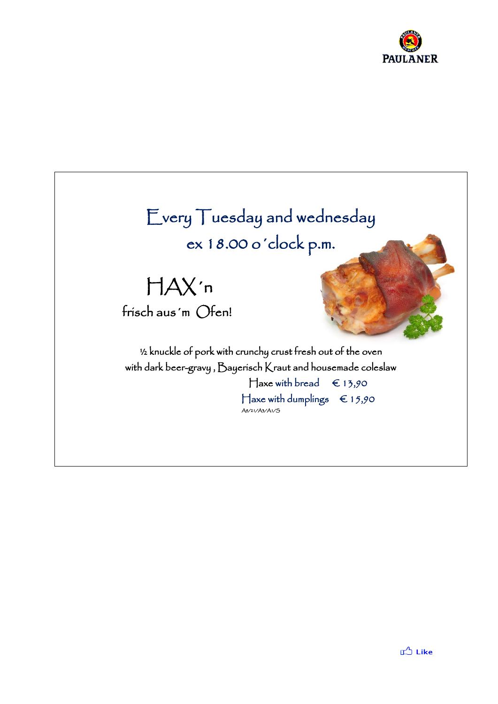

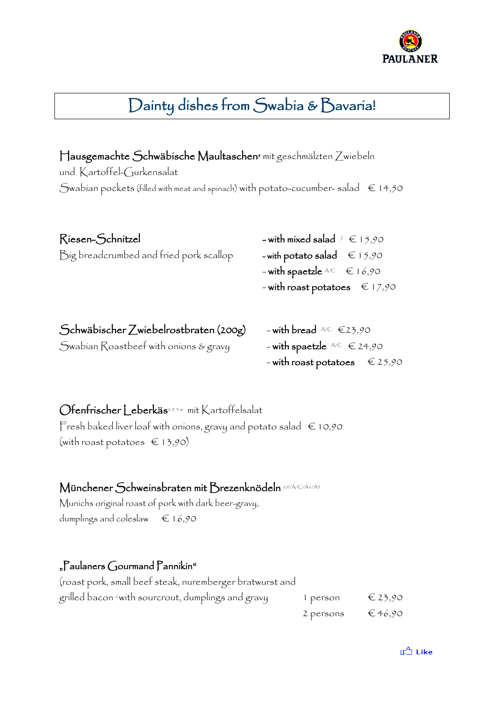

# Dainty dishes from Swabia & Bavaria!

Hausgemachte Schwäbische Maultaschen<sup>9</sup> mit geschmälzten Zwiebeln und Kartoffel-Gurkensalat Swabian pockets (filled with meat and spinach) with potato-cucumber- salad  $\epsilon$  14,50

| Riesen-Schnitzel                                                                                                                                                                                                                             | - with mixed salad $\cup \in 15,90$    |
|----------------------------------------------------------------------------------------------------------------------------------------------------------------------------------------------------------------------------------------------|----------------------------------------|
| Big breadcrumbed and fried pork scallop                                                                                                                                                                                                      | - with potato salad $\epsilon$ 15,90   |
|                                                                                                                                                                                                                                              | - with spactzle $AC \in 16,90$         |
|                                                                                                                                                                                                                                              | - with roast potatoes $\epsilon$ 17,90 |
|                                                                                                                                                                                                                                              |                                        |
| $\mathcal{L}$ is the $\mathcal{L}$ in the state of the state $\mathcal{L}$ is the state of the state of the state of the state of the state of the state of the state of the state of the state of the state of the state of the state of th |                                        |

| Schwäbischer Zwiebelrostbraten (200g) | - with bread $AC \in 23,90$                |
|---------------------------------------|--------------------------------------------|
| Swabian Roastbeef with onions & gravy | - with spactzle $AC \in 24,90$             |
|                                       | - with roast potatoes $\epsilon \in 25,90$ |

Ofenfrischer Leberkäs<u>2,9,5 w mit Kartoffelsalat</u> Fresh baked liver loaf with onions, gravy and potato salad  $\epsilon$  10,90 (with roast potatoes  $\in$  13,90)

#### Münchener Schweinsbraten mit Brezenknödeln 2,9/A/C/A1/A3

Munichs original roast of pork with dark beer-gravy, dumplings and coleslaw  $\epsilon$  16,90

#### "Paulaners Gourmand Pannikin"

| (roast pork, small beef steak, nuremberger bratwurst and       |                            |                  |
|----------------------------------------------------------------|----------------------------|------------------|
| grilled bacon <sup>2</sup> with sourcrout, dumplings and gravy | i person                   | $\epsilon$ 23,90 |
|                                                                | 2 persons $\epsilon$ 46,90 |                  |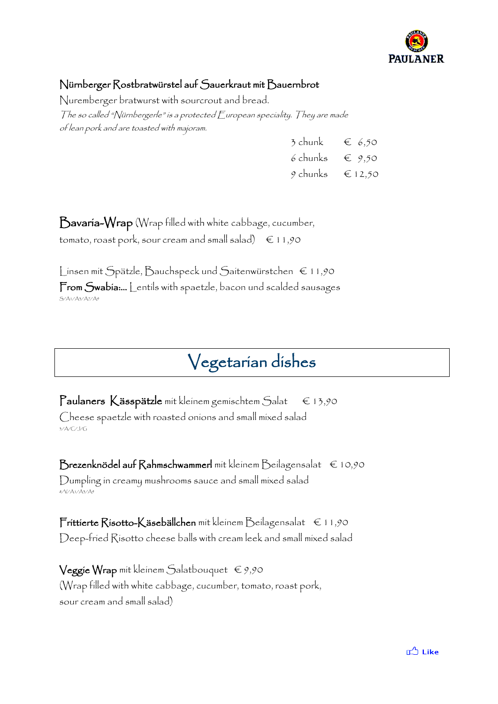

#### Nürnberger Rostbratwürstel auf Sauerkraut mit Bauernbrot

Nuremberger bratwurst with sourcrout and bread. The so called "Nürnbergerle" is a protected  $\bar{F}$  uropean speciality. They are made of lean pork and are toasted with majoram.

| 3 chunk  | $\epsilon$ 6,50  |
|----------|------------------|
| 6 chunks | $\epsilon$ 9.50  |
| 9 chunks | $\epsilon$ 12,50 |

Bavaria-Wrap (Wrap filled with white cabbage, cucumber, tomato, roast pork, sour cream and small salad)  $\epsilon$  11,90

Linsen mit Spätzle, Bauchspeck und Saitenwürstchen € 11,90 From Swabia:… Lentils with spaetzle, bacon und scalded sausages S/A1/A3/A7/A9

# Vegetarian dishes

Paulaners Kässpätzle mit kleinem gemischtem Salat € 13,90 Cheese spaetzle with roasted onions and small mixed salad 3/A/C/J/G

Brezenknödel auf Rahmschwammerl mit kleinem Beilagensalat  $\epsilon$  10,90 Dumpling in creamy mushrooms sauce and small mixed salad 8/V/A1/A3/A9

Frittierte Risotto-Käsebällchen mit kleinem Beilagensalat € 11,90 Deep-fried Risotto cheese balls with cream leek and small mixed salad

**Veggie Wrap** mit kleinem Salatbouquet  $\epsilon$  9,90 (Wrap filled with white cabbage, cucumber, tomato, roast pork, sour cream and small salad)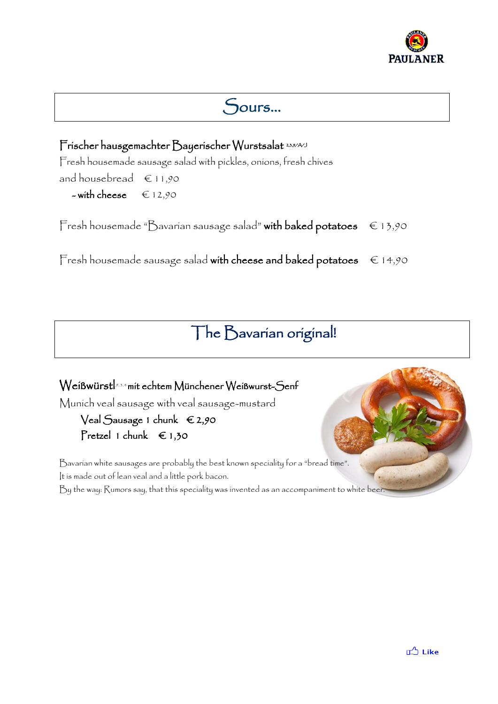

# Sours…

### $\Gamma$ ríscher hausgemachter  $\bigcirc$ ayeríscher Wurstsalat 2,3,9/A/J

Fresh housemade sausage salad with pickles, onions, fresh chives

and house bread  $\epsilon$  11,90

 $-$  with cheese  $\epsilon$  12,90

Fresh housemade "Bavarian sausage salad" with baked potatoes  $\epsilon$  13,90

Fresh housemade sausage salad with cheese and baked potatoes  $\epsilon$  14,90

# The Bavarian original!

# $\operatorname{\mathsf{We}}$ íßwürst $\mathsf{I}^{\scriptscriptstyle\beta,\mathfrak{z}, \ast}$ mít echtem  $\operatorname{\mathsf{M}}$ ünchener Weíßwurst-Senf Munich veal sausage with veal sausage-mustard

### Veal Sausage 1 chunk € 2,90 Pretzel 1 chunk  $\epsilon$  1,30

Bavarian white sausages are probably the best known speciality for a "bread time". It is made out of lean veal and a little pork bacon.

By the way: Rumors say, that this speciality was invented as an accompaniment to white beer.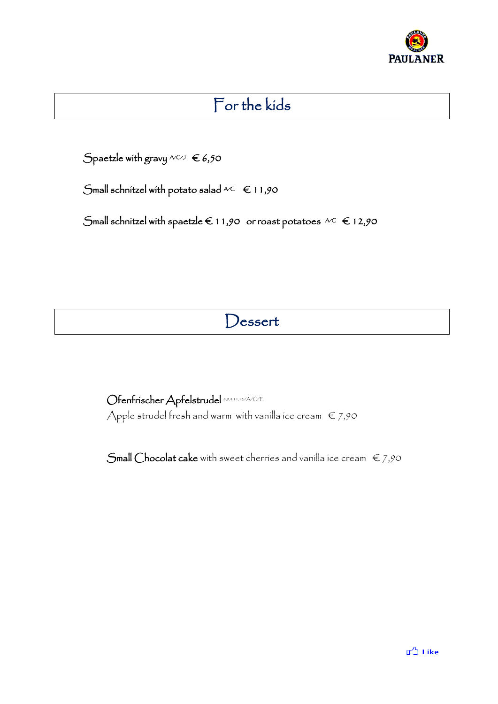

# For the kids

 $\bigcirc$ paetzle with gravy  $\mathbb{A}^{C \cup J} \in$  6,50

Small schnitzel with potato salad  $AC \in 11,90$ 

Small schnitzel with spaetzle  $\epsilon$  11,90 or roast potatoes  $AC \epsilon$  12,90

# Dessert

Ofenfrischer Apfelstrudel 8,9,4,11,15/A/C/E Apple strudel fresh and warm with vanilla ice cream  $\epsilon$  7,90

Small Chocolat cake with sweet cherries and vanilla ice cream  $\epsilon$  7,90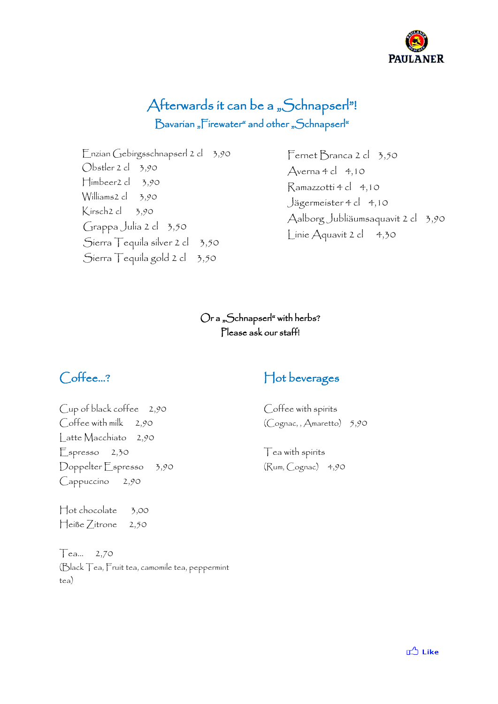

## Afterwards it can be a "Schnapserl"! Bavarian "Firewater" and other "Schnapserl"

Enzian Gebirgsschnapserl 2 cl 3,90 Obstler 2 cl 3,90 Himbeer2 cl 3,90 Williams2 cl 3,90 Kirsch2 cl 3,90 Grappa Julia 2 cl 3,50 Sierra Tequila silver 2 cl 3,50 Sierra Tequila gold 2 cl 3,50

Fernet Branca 2 cl 3,50  $Averna 4 cl 4,10$ Ramazzotti 4 cl 4,10 Jägermeister 4 cl 4,10 Aalborg Jubliäumsaquavit 2 cl 3,90 Linie Aquavit 2 cl 4,30

#### Or a "Schnapserl" with herbs? Please ask our staff!

## Coffee…?

Cup of black coffee 2,90 Coffee with milk 2,90 Latte Macchiato 2,90 Espresso 2,30 Doppelter Espresso 3,90 Cappuccino 2,90

Hot chocolate 3,00 Heiße Zitrone 2,50

Tea… 2,70 (Black Tea, Fruit tea, camomile tea, peppermint tea)

### Hot beverages

Coffee with spirits (Cognac, , Amaretto) 5,90

Tea with spirits (Rum, Cognac) 4,90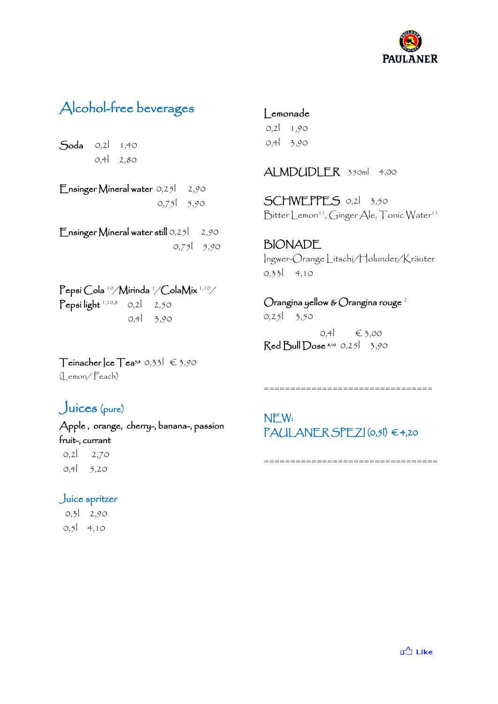

# Alcohol-free beverages

Soda 0,2l 1,40 0,4l 2,80

Ensinger Mineral water 0,251 2,90 0,75l 5,90

Ensinger Mineral water still 0,25 2,90 0,75l 5,90

Pepsi Cola <sup>10</sup>/Mirinda 1/ColaMix 1,10/  $\mathsf{Pepsi}$  light  $^{1,10,8}$  = 0,2  $^{1}$  = 2,50  $^{\circ}$ 0,4l 3,90

Lemonade

0,2l 1,90 0,4l 3,90

ALMDUDLER 350ml 4,00

SCHWEPPES 0,21 3,50 Bitter Lemon<sup>11</sup>, Ginger Ale, Tonic Water<sup>11</sup>

BIONADE Ingwer-Orange Litschi/Holunder/Kräuter 0,33l 4,10

Orangina yellow & Orangina rouge<sup>2</sup>

0,25l 3,50

 $0,4$  € 3,00 Red Bull Dose \$,10 0,25 3,90

 $\top$ einacher | ce $\top$ ea<sup>3,8</sup> 0,33 $\mid \in \{3,90\}$ (Lemon/ Peach)

### Juices (pure)

Apple , orange, cherry-, banana-, passion fruit-, currant

 0,2l 2,70 0,4l 5,20

#### Juice spritzer

 0,3l 2,90 0,5l 4,10

================================

NEW: PAULANER SPEZI (0,5l) € 4,20

=================================

**I** Like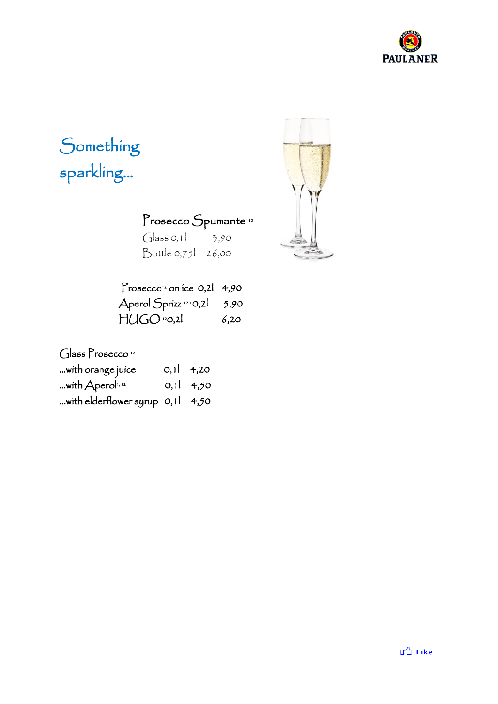

# Something sparkling…

Prosecco Spumante<sup>12</sup>

 $G$ lass 0,1  $\frac{3}{90}$ Bottle 0,75l 26,00

| Prosecco <sup>12</sup> on ice 0,2 4,90 |      |
|----------------------------------------|------|
| Aperol Sprizz <sup>12,1</sup> 0,2      | 5,90 |
| $HUGO$ $20,21$                         | 6,20 |

Glass Prosecco<sup>12</sup>

| with orange juice                | 0,11,4,20 |
|----------------------------------|-----------|
| with Aperol <sup>1,12</sup>      | 0,11,4,50 |
| with elderflower syrup 0,11 4,50 |           |

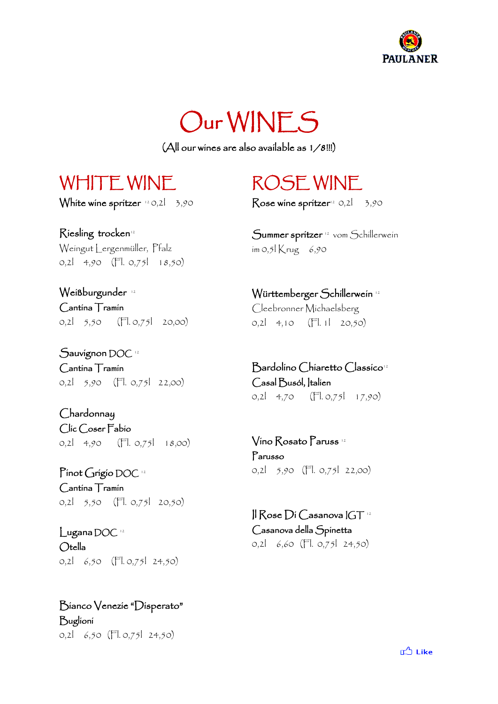



(All our wines are also available as 1/8!!!)

# WHITE WINF

White wine spritzer  $^{12}$  0,2l  $^{-}$  3,90  $\,$ 

Riesling trocken<sup>12</sup> Weingut Lergenmüller, Pfalz 0,2l 4,90 (Fl. 0,75l 18,50)

Weißburgunder<sup>12</sup> Cantina Tramin 0,2l 5,50 (Fl. 0,75l 20,00)

Sauvignon DOC<sup>12</sup> Cantina Tramin 0,2l 5,90 (Fl. 0,75l 22,00)

Chardonnay Clic Coser Fabio 0,2l 4,90 (Fl. 0,75l 18,00)

Pinot Grigio DOC 12 Cantina Tramin 0,2l 5,50 (Fl. 0,75l 20,50)

Lugana DOC 12 Otella 0,2l 6,50 (Fl. 0,75l 24,50)

Bianco Venezie "Disperato" Buglioni 0,2l 6,50 (Fl. 0,75l 24,50)

# ROSE WINE

Rose wine spritzer<sup>12</sup> 0,2l  $3,90$ 

Summer spritzer 12 vom Schillerwein im 0,5 $K$ rug 6,90

Württemberger Schillerwein <sup>12</sup> Cleebronner Michaelsberg 0,2l 4,10 (Fl. 1l 20,50)

Bardolino Chiaretto Classico<sup>12</sup> Casal Busól, Italien 0,2l 4,70 (Fl. 0,75l 17,90)

Vino Rosato Paruss <sup>12</sup> Parusso 0,2l 5,90 (Fl. 0,75l 22,00)

 $\parallel$   $\sim$  Rose  $\rm{Di}$  Casanova  $\rm{IGT}$   $^{\rm{12}}$ Casanova della Spinetta 0,2l 6,60 (Fl. 0,75l 24,50)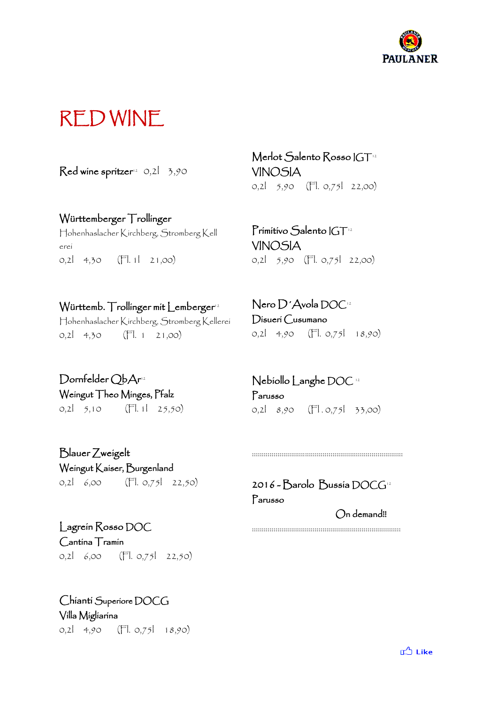

# RED WINE

 $\mathsf{Red}$  wine spritzer $^{\scriptscriptstyle (2)}$  0,2l = 3,90

#### Württemberger Trollinger

Hohenhaslacher Kirchberg, Stromberg Kell erei 0,2l 4,30 (Fl. 1l 21,00)

#### Württemb. Trollinger mit Lemberger<sup>12</sup>

Hohenhaslacher Kirchberg, Stromberg Kellerei 0,2l 4,30 (Fl. 1 21,00)

Merlot Salento Rosso IGT<sup>12</sup> VINOSIA 0,2l 5,90 (Fl. 0,75l 22,00)

Primitivo Salento IGT<sup>12</sup> VINOSIA 0,2l 5,90 (Fl. 0,75l 22,00)

Nero D´Avola DOC<sup>12</sup> Disueri Cusumano 0,2l 4,90 (Fl. 0,75l 18,90)

Dornfelder QbAr 12 Weingut Theo Minges, Pfalz 0,2 5,10  $($ Fl. 1 25,50)

Blauer Zweigelt Weingut Kaiser, Burgenland 0,2l 6,00 (Fl. 0,75l 22,50)

Nebiollo Langhe DOC <sup>12</sup> Parusso 0,2 8,90 (FL 0,75 33,00)

2016 - Barolo Bussia DOCG<sup>12</sup> Parusso On demand!!

:::::::::::::::::::::::::::::::::::::::::::::::::::::::::::::::::::::::::::::

::::::::::::::::::::::::::::::::::::::::::::::::::::::::::::::::::::::::::::

Lagrein Rosso DOC Cantina Tramin 0,2l 6,00 (Fl. 0,75l 22,50)

Chianti Superiore DOCG Villa Migliarina 0,2l 4,90 (Fl. 0,75l 18,90)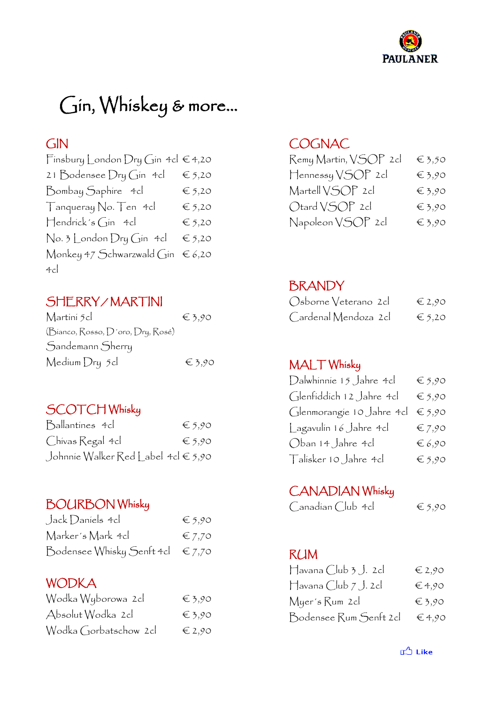

# Gin, Whiskey & more…

### GIN

| Finsbury London Dry Gin 4cl $\in$ 4,20 |                 |
|----------------------------------------|-----------------|
| 21 Bodensee Dry Gin 4cl                | $\epsilon$ 5,20 |
| Bombay Saphire 4cl                     | $\epsilon$ 5,20 |
| Tanqueray No. Ten 4cl                  | $\epsilon$ 5,20 |
| $H$ endrick's Gin 4cl                  | $\epsilon$ 5,20 |
| No. 3 London Dry Gin 4cl               | $\epsilon$ 5,20 |
| Monkey 47 Schwarzwald Gin              | $\epsilon$ 6,20 |
| 4c                                     |                 |

# SHERRY / MARTINI

| Martini 5cl                       | $\epsilon$ 3,90 |
|-----------------------------------|-----------------|
| (Bianco, Rosso, D'oro, Dry, Rosé) |                 |
| Sandemann Sherry                  |                 |
| Medium Dry 5cl                    | $\epsilon$ 3.90 |

### SCOTCH Whisky

| Ballantines 4cl                     | $\epsilon$ 5,90 |
|-------------------------------------|-----------------|
| Chivas Regal 4cl                    | $\epsilon$ 5,90 |
| Johnnie Walker Red Label 4cl € 5,90 |                 |

### BOURBON Whisky

| Jack Daniels 4cl                          | $\epsilon$ 5,90 |
|-------------------------------------------|-----------------|
| Marker's Mark 4cl                         | $\epsilon$ 7,70 |
| Bodensee Whisky Senft 4cl $\epsilon$ 7,70 |                 |

### WODKA

| Wodka Wyborowa 2cl    | $\epsilon$ 3,90 |
|-----------------------|-----------------|
| Absolut Wodka 2cl     | $\epsilon$ 3,90 |
| Wodka Gorbatschow 2cl | $\in$ 2,90      |

### **COGNAC**

| Remy Martin, VSOP 2cl | $\epsilon$ 3,50 |
|-----------------------|-----------------|
| Hennessy VSOP 2cl     | $\epsilon$ 3,90 |
| Martell VSOP 2cl      | $\epsilon$ 3,90 |
| Otard VSOP 2cl        | $\epsilon$ 3,90 |
| Napoleon VSOP 2cl     | $\epsilon$ 3,90 |

### BRANDY

| Osborne Veterano 2cl | $\epsilon$ 2,90 |
|----------------------|-----------------|
| Cardenal Mendoza 2cl | $\epsilon$ 5,20 |

### MALT Whisky

| Dalwhinnie 15 Jahre 4cl   | $\epsilon$ 5,90 |
|---------------------------|-----------------|
| Glenfiddich 12 Jahre 4cl  | $\epsilon$ 5,90 |
| Glenmorangie 10 Jahre 4cl | $\epsilon$ 5,90 |
| Lagavulin 16 Jahre 4cl    | $\epsilon$ 7,90 |
| Oban 14 Jahre 4cl         | $\epsilon$ 6,90 |
| Talisker 10 Jahre 4cl     | $\epsilon$ 5,90 |

### CANADIAN Whisky

| Canadían Club 4cl | $\epsilon$ 5,90 |
|-------------------|-----------------|
|-------------------|-----------------|

### RUM

| $\Box$ avana $\Box$ ub 3 $\Box$ . 2 cl | $\in$ 2,90      |
|----------------------------------------|-----------------|
| $H$ avana Club $7$ J. 2cl              | $\epsilon$ 4,90 |
| Myer's Rum 2cl                         | $\epsilon$ 3,90 |
| Bodensee Rum Senft 2cl                 | $\epsilon$ 4,90 |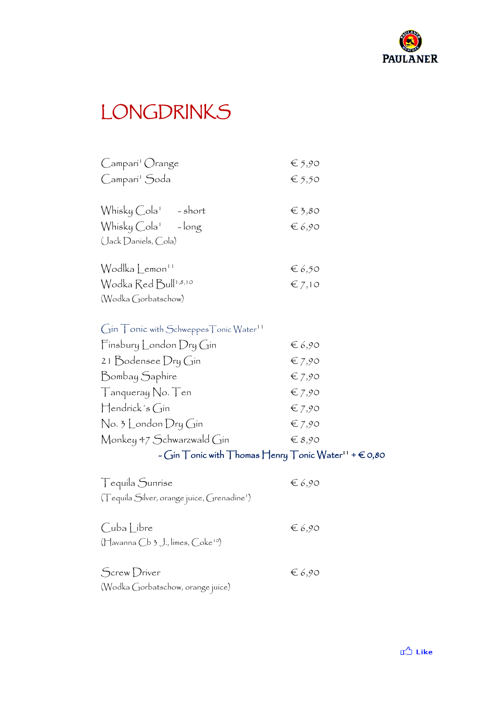

# LONGDRINKS

| Campari <sup>1</sup> Orange                                                                          | $\epsilon$ 5,90             |
|------------------------------------------------------------------------------------------------------|-----------------------------|
| Camparí <sup>1</sup> Soda                                                                            | $\epsilon_{5,50}$           |
|                                                                                                      |                             |
| Whisky Cola <sup>1</sup> - short                                                                     | $\epsilon_{\frac{3,80}{5}}$ |
| Whisky Cola <sup>1</sup> - long                                                                      | $\epsilon$ 6,90             |
| (Jack Daniels, Cola)                                                                                 |                             |
| Wodlka Lemon <sup>11</sup>                                                                           | $\epsilon$ 6,50             |
| Wodka Red Bull <sup>1,8,10</sup>                                                                     | $\epsilon$ 7,10             |
| (Wodka Gorbatschow)                                                                                  |                             |
|                                                                                                      |                             |
| Gin Tonic with Schweppes Tonic Water <sup>11</sup>                                                   |                             |
| $F$ ínsbury London Dry Gín                                                                           | $\epsilon$ 6,90             |
| 21 Bodensee Dry Gin                                                                                  | $\epsilon$ 7,90             |
| Bombay Saphíre                                                                                       | $\epsilon$ 7,90             |
| Tanqueray No. Ten                                                                                    | $\epsilon$ 7,90             |
| $\operatorname{\mathsf{H}}$ endríck's Gín                                                            | $\epsilon$ 7,90             |
| $\operatorname{\mathsf{No}}$ . 3 $\operatorname{\mathsf{London}}$ $\operatorname{\mathsf{Dr}}$ y Gín | $\epsilon$ 7,90             |
| Monkey 47 Schwarzwald Gin                                                                            | $\in$ 8,90                  |
| $\sim$ Gin $\top$ onic with $\top$ homas $\sqcap$ enry $\top$ onic Water''                           |                             |
| Tequila Sunrise                                                                                      | $\epsilon$ 6,90             |
| (Tequila Silver, orange juice, Grenadine <sup>1</sup> )                                              |                             |
|                                                                                                      |                             |
| Cuba Libre                                                                                           | $\epsilon$ 6,90             |
| (Havanna Cb 3 J., limes, Coke <sup>10</sup> )                                                        |                             |
|                                                                                                      |                             |
| Screw Driver                                                                                         | $\epsilon$ 6,90             |
| (Wodka Gorbatschow, orange juice)                                                                    |                             |

 $+ \epsilon$ 0,80